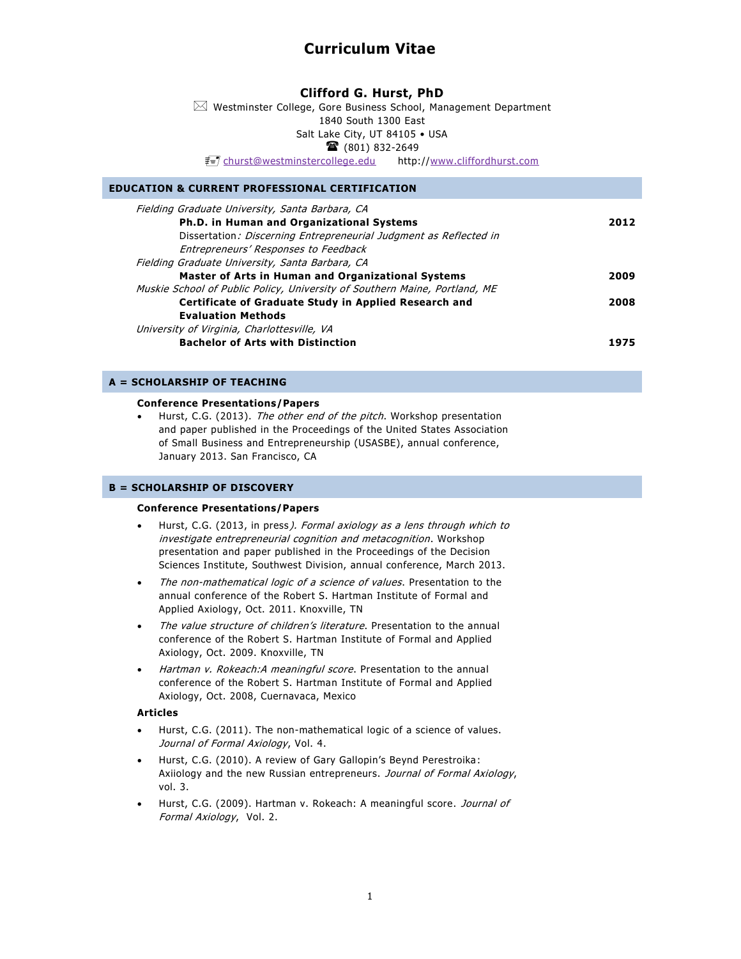# **Curriculum Vitae**

# **Clifford G. Hurst, PhD**

 $\boxtimes$  Westminster College, Gore Business School, Management Department 1840 South 1300 East Salt Lake City, UT 84105 • USA  $\mathbf{\widehat{a}}$  (801) 832-2649

[churst@westminstercollege.edu](mailto:churst@westminstercollege.edu) http:/[/www.cliffordhurst.com](http://www.cliffordhurst.com/)

# **EDUCATION & CURRENT PROFESSIONAL CERTIFICATION**

| Fielding Graduate University, Santa Barbara, CA                            |      |
|----------------------------------------------------------------------------|------|
| Ph.D. in Human and Organizational Systems                                  | 2012 |
| Dissertation: Discerning Entrepreneurial Judgment as Reflected in          |      |
| Entrepreneurs' Responses to Feedback                                       |      |
| Fielding Graduate University, Santa Barbara, CA                            |      |
| <b>Master of Arts in Human and Organizational Systems</b>                  | 2009 |
| Muskie School of Public Policy, University of Southern Maine, Portland, ME |      |
| Certificate of Graduate Study in Applied Research and                      | 2008 |
| <b>Evaluation Methods</b>                                                  |      |
| University of Virginia, Charlottesville, VA                                |      |
| <b>Bachelor of Arts with Distinction</b>                                   |      |

# **A = SCHOLARSHIP OF TEACHING**

### **Conference Presentations/Papers**

• Hurst, C.G. (2013). The other end of the pitch. Workshop presentation and paper published in the Proceedings of the United States Association of Small Business and Entrepreneurship (USASBE), annual conference, January 2013. San Francisco, CA

# **B = SCHOLARSHIP OF DISCOVERY**

# **Conference Presentations/Papers**

- Hurst, C.G. (2013, in press). Formal axiology as a lens through which to investigate entrepreneurial cognition and metacognition. Workshop presentation and paper published in the Proceedings of the Decision Sciences Institute, Southwest Division, annual conference, March 2013.
- The non-mathematical logic of a science of values. Presentation to the annual conference of the Robert S. Hartman Institute of Formal and Applied Axiology, Oct. 2011. Knoxville, TN
- The value structure of children's literature. Presentation to the annual conference of the Robert S. Hartman Institute of Formal and Applied Axiology, Oct. 2009. Knoxville, TN
- Hartman v. Rokeach:A meaningful score. Presentation to the annual conference of the Robert S. Hartman Institute of Formal and Applied Axiology, Oct. 2008, Cuernavaca, Mexico

# **Articles**

- Hurst, C.G. (2011). The non-mathematical logic of a science of values. Journal of Formal Axiology, Vol. 4.
- Hurst, C.G. (2010). A review of Gary Gallopin's Beynd Perestroika: Axiiology and the new Russian entrepreneurs. Journal of Formal Axiology, vol. 3.
- Hurst, C.G. (2009). Hartman v. Rokeach: A meaningful score. Journal of Formal Axiology, Vol. 2.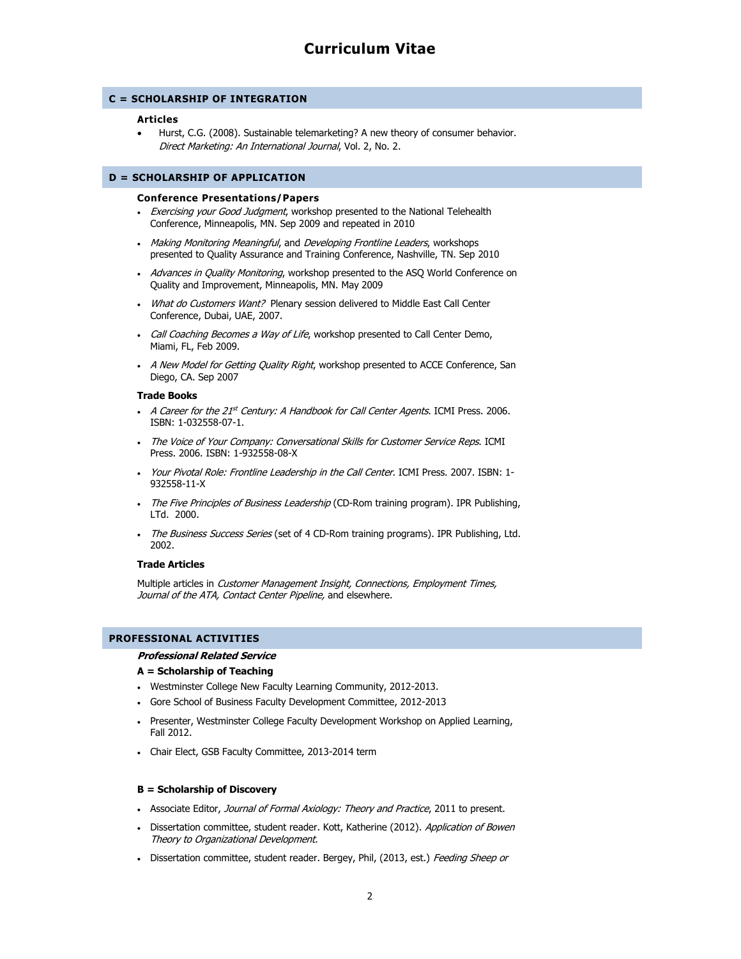# **C = SCHOLARSHIP OF INTEGRATION**

# **Articles**

 Hurst, C.G. (2008). Sustainable telemarketing? A new theory of consumer behavior. Direct Marketing: An International Journal, Vol. 2, No. 2.

# **D = SCHOLARSHIP OF APPLICATION**

## **Conference Presentations/Papers**

- Exercising your Good Judgment, workshop presented to the National Telehealth Conference, Minneapolis, MN. Sep 2009 and repeated in 2010
- Making Monitoring Meaningful, and Developing Frontline Leaders, workshops presented to Quality Assurance and Training Conference, Nashville, TN. Sep 2010
- Advances in Quality Monitoring, workshop presented to the ASQ World Conference on Quality and Improvement, Minneapolis, MN. May 2009
- What do Customers Want? Plenary session delivered to Middle East Call Center Conference, Dubai, UAE, 2007.
- Call Coaching Becomes a Way of Life, workshop presented to Call Center Demo, Miami, FL, Feb 2009.
- A New Model for Getting Quality Right, workshop presented to ACCE Conference, San Diego, CA. Sep 2007

#### **Trade Books**

- A Career for the 21st Century: A Handbook for Call Center Agents. ICMI Press. 2006. ISBN: 1-032558-07-1.
- The Voice of Your Company: Conversational Skills for Customer Service Reps. ICMI Press. 2006. ISBN: 1-932558-08-X
- Your Pivotal Role: Frontline Leadership in the Call Center. ICMI Press. 2007. ISBN: 1-932558-11-X
- The Five Principles of Business Leadership (CD-Rom training program). IPR Publishing, LTd. 2000.
- The Business Success Series (set of 4 CD-Rom training programs). IPR Publishing, Ltd. 2002.

# **Trade Articles**

Multiple articles in Customer Management Insight, Connections, Employment Times, Journal of the ATA, Contact Center Pipeline, and elsewhere.

# **PROFESSIONAL ACTIVITIES**

# **Professional Related Service**

# **A = Scholarship of Teaching**

- Westminster College New Faculty Learning Community, 2012-2013.
- Gore School of Business Faculty Development Committee, 2012-2013
- Presenter, Westminster College Faculty Development Workshop on Applied Learning, Fall 2012.
- Chair Elect, GSB Faculty Committee, 2013-2014 term

# **B = Scholarship of Discovery**

- Associate Editor, Journal of Formal Axiology: Theory and Practice, 2011 to present.
- Dissertation committee, student reader. Kott, Katherine (2012). Application of Bowen Theory to Organizational Development.
- Dissertation committee, student reader. Bergey, Phil, (2013, est.) Feeding Sheep or